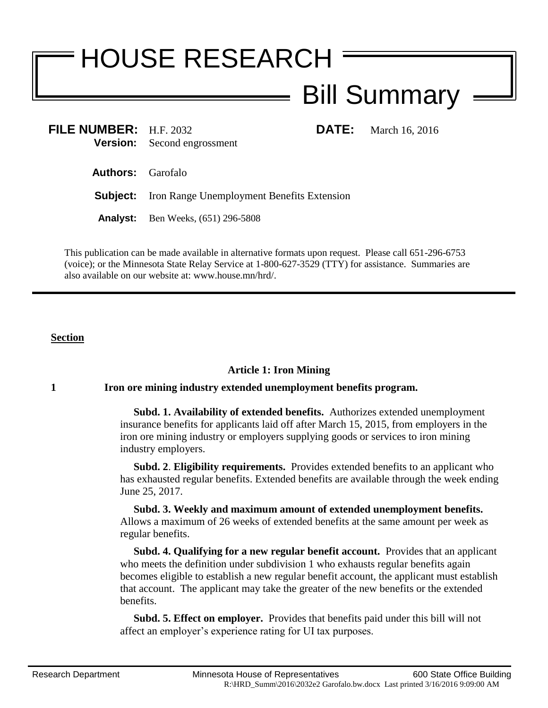# HOUSE RESEARCH Bill Summary

**FILE NUMBER:** H.F. 2032 **DATE:** March 16, 2016<br> **Version:** Second engrossment **Version:** Second engrossment

**Authors:** Garofalo

**Subject:** Iron Range Unemployment Benefits Extension

**Analyst:** Ben Weeks, (651) 296-5808

This publication can be made available in alternative formats upon request. Please call 651-296-6753 (voice); or the Minnesota State Relay Service at 1-800-627-3529 (TTY) for assistance. Summaries are also available on our website at: www.house.mn/hrd/.

## **Section**

## **Article 1: Iron Mining**

## **1 Iron ore mining industry extended unemployment benefits program.**

 **Subd. 1. Availability of extended benefits.** Authorizes extended unemployment insurance benefits for applicants laid off after March 15, 2015, from employers in the iron ore mining industry or employers supplying goods or services to iron mining industry employers.

 **Subd. 2**. **Eligibility requirements.** Provides extended benefits to an applicant who has exhausted regular benefits. Extended benefits are available through the week ending June 25, 2017.

 **Subd. 3. Weekly and maximum amount of extended unemployment benefits.**  Allows a maximum of 26 weeks of extended benefits at the same amount per week as regular benefits.

 **Subd. 4. Qualifying for a new regular benefit account.** Provides that an applicant who meets the definition under subdivision 1 who exhausts regular benefits again becomes eligible to establish a new regular benefit account, the applicant must establish that account. The applicant may take the greater of the new benefits or the extended benefits.

 **Subd. 5. Effect on employer.** Provides that benefits paid under this bill will not affect an employer's experience rating for UI tax purposes.